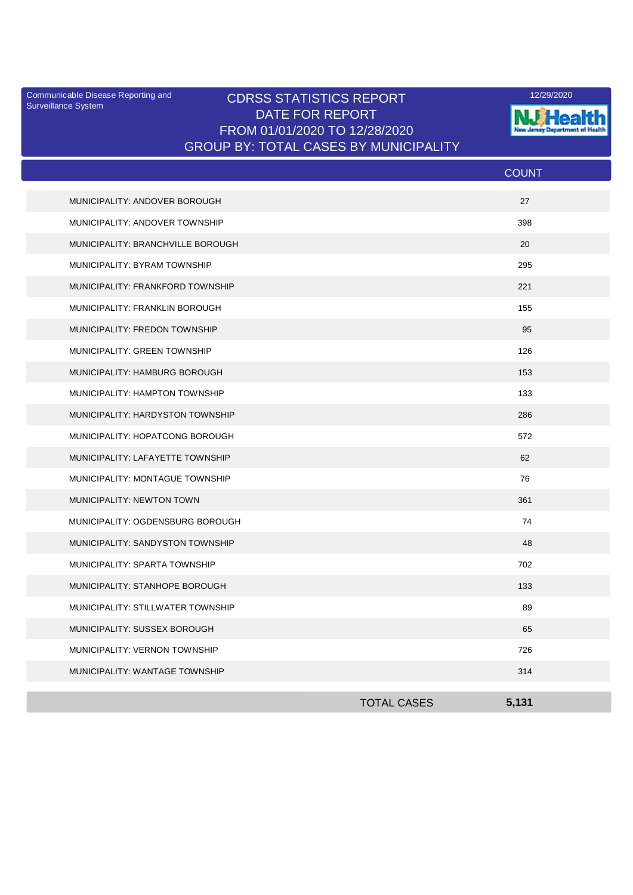Surveillance System

## Communicable Disease Reporting and **CDRSS STATISTICS REPORT** 12/29/2020<br>Surveillance Statem DATE FOR REPORT FROM 01/01/2020 TO 12/28/2020 GROUP BY: TOTAL CASES BY MUNICIPALITY



|                                   |                    | <b>COUNT</b> |
|-----------------------------------|--------------------|--------------|
| MUNICIPALITY: ANDOVER BOROUGH     |                    | 27           |
| MUNICIPALITY: ANDOVER TOWNSHIP    |                    | 398          |
| MUNICIPALITY: BRANCHVILLE BOROUGH |                    | 20           |
| MUNICIPALITY: BYRAM TOWNSHIP      |                    | 295          |
| MUNICIPALITY: FRANKFORD TOWNSHIP  |                    | 221          |
| MUNICIPALITY: FRANKLIN BOROUGH    |                    | 155          |
| MUNICIPALITY: FREDON TOWNSHIP     |                    | 95           |
| MUNICIPALITY: GREEN TOWNSHIP      |                    | 126          |
| MUNICIPALITY: HAMBURG BOROUGH     |                    | 153          |
| MUNICIPALITY: HAMPTON TOWNSHIP    |                    | 133          |
| MUNICIPALITY: HARDYSTON TOWNSHIP  |                    | 286          |
| MUNICIPALITY: HOPATCONG BOROUGH   |                    | 572          |
| MUNICIPALITY: LAFAYETTE TOWNSHIP  |                    | 62           |
| MUNICIPALITY: MONTAGUE TOWNSHIP   |                    | 76           |
| MUNICIPALITY: NEWTON TOWN         |                    | 361          |
| MUNICIPALITY: OGDENSBURG BOROUGH  |                    | 74           |
| MUNICIPALITY: SANDYSTON TOWNSHIP  |                    | 48           |
| MUNICIPALITY: SPARTA TOWNSHIP     |                    | 702          |
| MUNICIPALITY: STANHOPE BOROUGH    |                    | 133          |
| MUNICIPALITY: STILLWATER TOWNSHIP |                    | 89           |
| MUNICIPALITY: SUSSEX BOROUGH      |                    | 65           |
| MUNICIPALITY: VERNON TOWNSHIP     |                    | 726          |
| MUNICIPALITY: WANTAGE TOWNSHIP    |                    | 314          |
|                                   | <b>TOTAL CASES</b> | 5,131        |